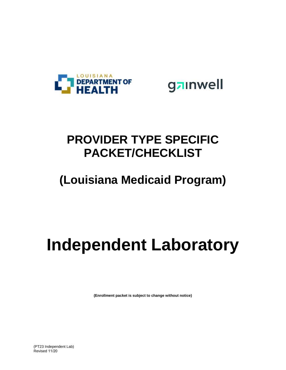

gainwell

## **PROVIDER TYPE SPECIFIC PACKET/CHECKLIST**

## **(Louisiana Medicaid Program)**

# **Independent Laboratory**

**(Enrollment packet is subject to change without notice)**